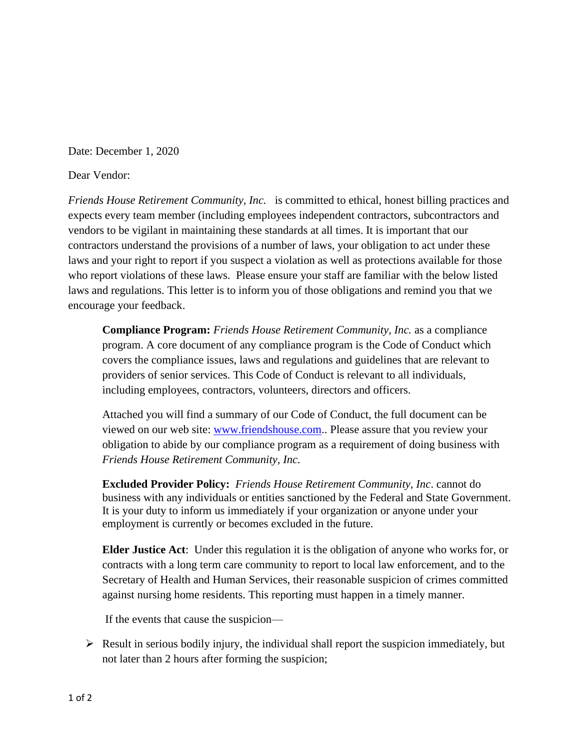Date: December 1, 2020

Dear Vendor:

*Friends House Retirement Community, Inc.* is committed to ethical, honest billing practices and expects every team member (including employees independent contractors, subcontractors and vendors to be vigilant in maintaining these standards at all times. It is important that our contractors understand the provisions of a number of laws, your obligation to act under these laws and your right to report if you suspect a violation as well as protections available for those who report violations of these laws. Please ensure your staff are familiar with the below listed laws and regulations. This letter is to inform you of those obligations and remind you that we encourage your feedback.

**Compliance Program:** *Friends House Retirement Community, Inc.* as a compliance program. A core document of any compliance program is the Code of Conduct which covers the compliance issues, laws and regulations and guidelines that are relevant to providers of senior services. This Code of Conduct is relevant to all individuals, including employees, contractors, volunteers, directors and officers.

Attached you will find a summary of our Code of Conduct, the full document can be viewed on our web site: [www.friendshouse.com.](http://www.friendshouse.com/). Please assure that you review your obligation to abide by our compliance program as a requirement of doing business with *Friends House Retirement Community, Inc.*

**Excluded Provider Policy:** *Friends House Retirement Community, Inc*. cannot do business with any individuals or entities sanctioned by the Federal and State Government. It is your duty to inform us immediately if your organization or anyone under your employment is currently or becomes excluded in the future.

**Elder Justice Act**: Under this regulation it is the obligation of anyone who works for, or contracts with a long term care community to report to local law enforcement, and to the Secretary of Health and Human Services, their reasonable suspicion of crimes committed against nursing home residents. This reporting must happen in a timely manner.

If the events that cause the suspicion—

 $\triangleright$  Result in serious bodily injury, the individual shall report the suspicion immediately, but not later than 2 hours after forming the suspicion;